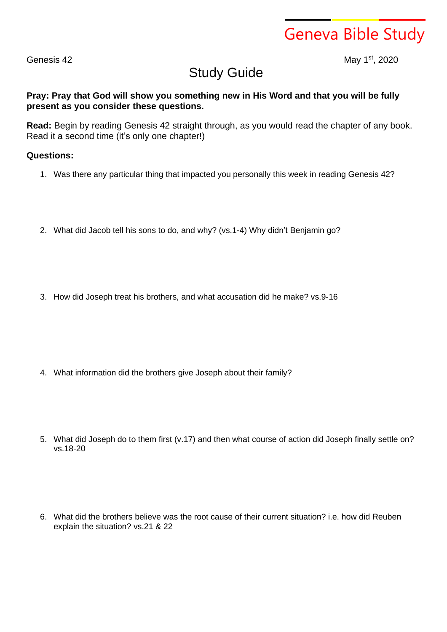Geneva Bible Study

Genesis 42

st , 2020

## Study Guide

## **Pray: Pray that God will show you something new in His Word and that you will be fully present as you consider these questions.**

**Read:** Begin by reading Genesis 42 straight through, as you would read the chapter of any book. Read it a second time (it's only one chapter!)

## **Questions:**

- 1. Was there any particular thing that impacted you personally this week in reading Genesis 42?
- 2. What did Jacob tell his sons to do, and why? (vs.1-4) Why didn't Benjamin go?
- 3. How did Joseph treat his brothers, and what accusation did he make? vs.9-16

- 4. What information did the brothers give Joseph about their family?
- 5. What did Joseph do to them first (v.17) and then what course of action did Joseph finally settle on? vs.18-20
- 6. What did the brothers believe was the root cause of their current situation? i.e. how did Reuben explain the situation? vs.21 & 22